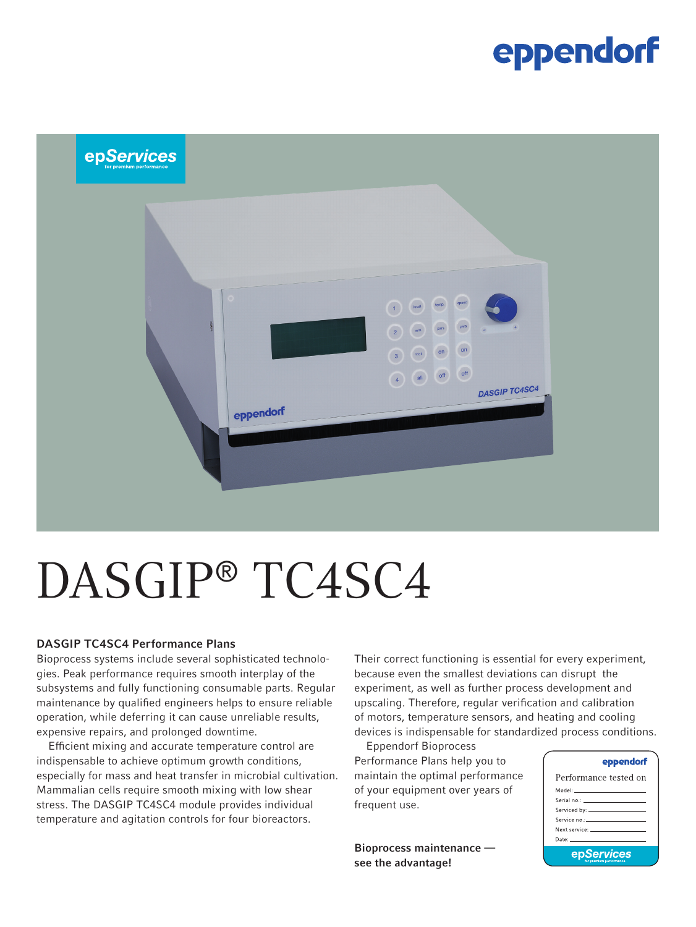### eppendorf



# DASGIP® TC4SC4

#### DASGIP TC4SC4 Performance Plans

Bioprocess systems include several sophisticated technologies. Peak performance requires smooth interplay of the subsystems and fully functioning consumable parts. Regular maintenance by qualified engineers helps to ensure reliable operation, while deferring it can cause unreliable results, expensive repairs, and prolonged downtime.

Efficient mixing and accurate temperature control are indispensable to achieve optimum growth conditions, especially for mass and heat transfer in microbial cultivation. Mammalian cells require smooth mixing with low shear stress. The DASGIP TC4SC4 module provides individual temperature and agitation controls for four bioreactors.

Their correct functioning is essential for every experiment, because even the smallest deviations can disrupt the experiment, as well as further process development and upscaling. Therefore, regular verification and calibration of motors, temperature sensors, and heating and cooling devices is indispensable for standardized process conditions.

Eppendorf Bioprocess Performance Plans help you to maintain the optimal performance of your equipment over years of frequent use.

Bioprocess maintenance see the advantage!

#### eppendorf

| Performance tested on                                                                                                                                                                                                         |  |  |  |  |
|-------------------------------------------------------------------------------------------------------------------------------------------------------------------------------------------------------------------------------|--|--|--|--|
| Model: ______________________                                                                                                                                                                                                 |  |  |  |  |
|                                                                                                                                                                                                                               |  |  |  |  |
|                                                                                                                                                                                                                               |  |  |  |  |
|                                                                                                                                                                                                                               |  |  |  |  |
| Next service: The contract of the contract of the contract of the contract of the contract of the contract of the contract of the contract of the contract of the contract of the contract of the contract of the contract of |  |  |  |  |
| Date: The Committee of the Committee of the Committee of the Committee of the Committee of the Committee of the                                                                                                               |  |  |  |  |
| epServices                                                                                                                                                                                                                    |  |  |  |  |